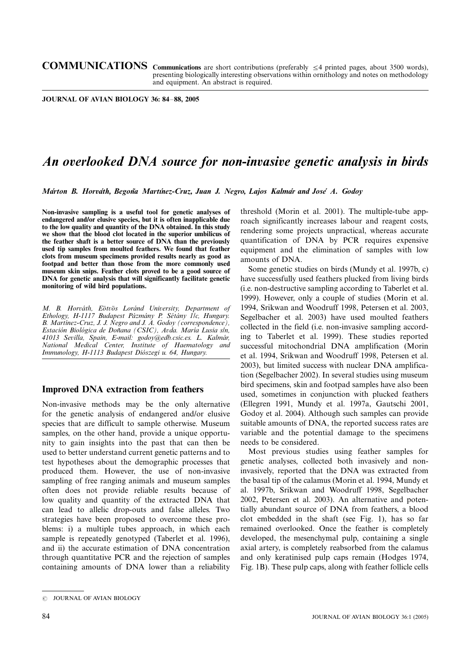COMMUNICATIONS Communications are short contributions (preferably  $\leq$ 4 printed pages, about 3500 words), presenting biologically interesting observations within ornithology and notes on methodology and equipment. An abstract is required.

JOURNAL OF AVIAN BIOLOGY 36: 84-88, 2005

# An overlooked DNA source for non-invasive genetic analysis in birds

Márton B. Horváth, Begoña Martínez-Cruz, Juan J. Negro, Lajos Kalmár and José A. Godoy

Non-invasive sampling is a useful tool for genetic analyses of endangered and/or elusive species, but it is often inapplicable due to the low quality and quantity of the DNA obtained. In this study we show that the blood clot located in the superior umbilicus of the feather shaft is a better source of DNA than the previously used tip samples from moulted feathers. We found that feather clots from museum specimens provided results nearly as good as footpad and better than those from the more commonly used museum skin snips. Feather clots proved to be a good source of DNA for genetic analysis that will significantly facilitate genetic monitoring of wild bird populations.

M. B. Horváth, Eötvös Loránd University, Department of Ethology, H-1117 Budapest Pázmány P. Sétány Îlc, Hungary. B. Martinez-Cruz, J. J. Negro and J. A. Godoy (correspondence), Estación Biológica de Doñana (CSIC), Avda. María Lusia s/n, 41013 Sevilla, Spain, E-mail: godoy@edb.csic.es. L. Kalmár, National Medical Center, Institute of Haematology and Immunology, H-1113 Budapest Diószegi u. 64, Hungary.

## Improved DNA extraction from feathers

Non-invasive methods may be the only alternative for the genetic analysis of endangered and/or elusive species that are difficult to sample otherwise. Museum samples, on the other hand, provide a unique opportunity to gain insights into the past that can then be used to better understand current genetic patterns and to test hypotheses about the demographic processes that produced them. However, the use of non-invasive sampling of free ranging animals and museum samples often does not provide reliable results because of low quality and quantity of the extracted DNA that can lead to allelic drop-outs and false alleles. Two strategies have been proposed to overcome these problems: i) a multiple tubes approach, in which each sample is repeatedly genotyped (Taberlet et al. 1996), and ii) the accurate estimation of DNA concentration through quantitative PCR and the rejection of samples containing amounts of DNA lower than a reliability

threshold (Morin et al. 2001). The multiple-tube approach significantly increases labour and reagent costs, rendering some projects unpractical, whereas accurate quantification of DNA by PCR requires expensive equipment and the elimination of samples with low amounts of DNA.

Some genetic studies on birds (Mundy et al. 1997b, c) have successfully used feathers plucked from living birds (i.e. non-destructive sampling according to Taberlet et al. 1999). However, only a couple of studies (Morin et al. 1994, Srikwan and Woodruff 1998, Petersen et al. 2003, Segelbacher et al. 2003) have used moulted feathers collected in the field (i.e. non-invasive sampling according to Taberlet et al. 1999). These studies reported successful mitochondrial DNA amplification (Morin et al. 1994, Srikwan and Woodruff 1998, Petersen et al. 2003), but limited success with nuclear DNA amplification (Segelbacher 2002). In several studies using museum bird specimens, skin and footpad samples have also been used, sometimes in conjunction with plucked feathers (Ellegren 1991, Mundy et al. 1997a, Gautschi 2001, Godoy et al. 2004). Although such samples can provide suitable amounts of DNA, the reported success rates are variable and the potential damage to the specimens needs to be considered.

Most previous studies using feather samples for genetic analyses, collected both invasively and noninvasively, reported that the DNA was extracted from the basal tip of the calamus (Morin et al. 1994, Mundy et al. 1997b, Srikwan and Woodruff 1998, Segelbacher 2002, Petersen et al. 2003). An alternative and potentially abundant source of DNA from feathers, a blood clot embedded in the shaft (see Fig. 1), has so far remained overlooked. Once the feather is completely developed, the mesenchymal pulp, containing a single axial artery, is completely reabsorbed from the calamus and only keratinised pulp caps remain (Hodges 1974, Fig. 1B). These pulp caps, along with feather follicle cells

 $\circledcirc$  JOURNAL OF AVIAN BIOLOGY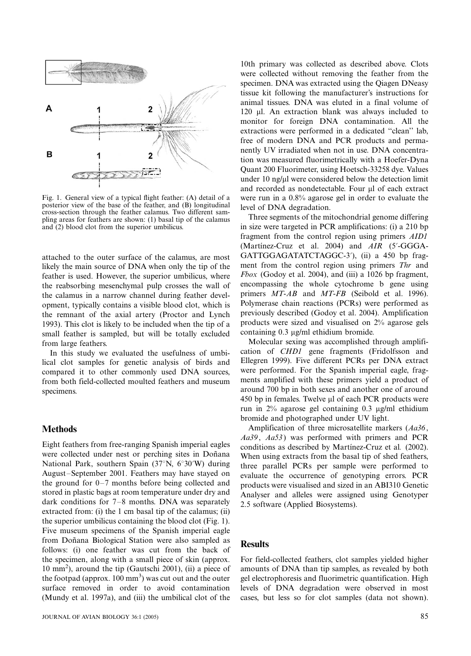

Fig. 1. General view of a typical flight feather: (A) detail of a posterior view of the base of the feather, and (B) longitudinal cross-section through the feather calamus. Two different sampling areas for feathers are shown: (1) basal tip of the calamus and (2) blood clot from the superior umbilicus.

attached to the outer surface of the calamus, are most likely the main source of DNA when only the tip of the feather is used. However, the superior umbilicus, where the reabsorbing mesenchymal pulp crosses the wall of the calamus in a narrow channel during feather development, typically contains a visible blood clot, which is the remnant of the axial artery (Proctor and Lynch 1993). This clot is likely to be included when the tip of a small feather is sampled, but will be totally excluded from large feathers.

In this study we evaluated the usefulness of umbilical clot samples for genetic analysis of birds and compared it to other commonly used DNA sources, from both field-collected moulted feathers and museum specimens.

# **Methods**

Eight feathers from free-ranging Spanish imperial eagles were collected under nest or perching sites in Doñana National Park, southern Spain  $(37°N, 6°30'W)$  during August-September 2001. Feathers may have stayed on the ground for  $0-7$  months before being collected and stored in plastic bags at room temperature under dry and dark conditions for  $7-8$  months. DNA was separately extracted from: (i) the 1 cm basal tip of the calamus; (ii) the superior umbilicus containing the blood clot (Fig. 1). Five museum specimens of the Spanish imperial eagle from Doñana Biological Station were also sampled as follows: (i) one feather was cut from the back of the specimen, along with a small piece of skin (approx. 10 mm<sup>2</sup> ), around the tip (Gautschi 2001), (ii) a piece of the footpad (approx.  $100 \text{ mm}^3$ ) was cut out and the outer surface removed in order to avoid contamination (Mundy et al. 1997a), and (iii) the umbilical clot of the 10th primary was collected as described above. Clots were collected without removing the feather from the specimen. DNA was extracted using the Qiagen DNeasy tissue kit following the manufacturer's instructions for animal tissues. DNA was eluted in a final volume of 120 ml. An extraction blank was always included to monitor for foreign DNA contamination. All the extractions were performed in a dedicated ''clean'' lab, free of modern DNA and PCR products and permanently UV irradiated when not in use. DNA concentration was measured fluorimetrically with a Hoefer-Dyna Quant 200 Fluorimeter, using Hoetsch-33258 dye. Values under  $10$  ng/ $\mu$ l were considered below the detection limit and recorded as nondetectable. Four µl of each extract were run in a 0.8% agarose gel in order to evaluate the level of DNA degradation.

Three segments of the mitochondrial genome differing in size were targeted in PCR amplifications: (i) a 210 bp fragment from the control region using primers AID1 (Martinez-Cruz et al. 2004) and  $AIR$  (5'-GGGA-GATTGGAGATATCTAGGC-3'), (ii) a 450 bp fragment from the control region using primers Thr and Fbox (Godoy et al. 2004), and (iii) a 1026 bp fragment, encompassing the whole cytochrome b gene using primers  $MT-AB$  and  $MT-FB$  (Seibold et al. 1996). Polymerase chain reactions (PCRs) were performed as previously described (Godoy et al. 2004). Amplification products were sized and visualised on 2% agarose gels containing  $0.3 \mu$ g/ml ethidium bromide.

Molecular sexing was accomplished through amplification of CHD1 gene fragments (Fridolfsson and Ellegren 1999). Five different PCRs per DNA extract were performed. For the Spanish imperial eagle, fragments amplified with these primers yield a product of around 700 bp in both sexes and another one of around  $450$  bp in females. Twelve  $\mu$ l of each PCR products were run in 2% agarose gel containing 0.3 mg/ml ethidium bromide and photographed under UV light.

Amplification of three microsatellite markers (Aa36, Aa39, Aa53) was performed with primers and PCR conditions as described by Martínez-Cruz et al. (2002). When using extracts from the basal tip of shed feathers, three parallel PCRs per sample were performed to evaluate the occurrence of genotyping errors. PCR products were visualised and sized in an ABI310 Genetic Analyser and alleles were assigned using Genotyper 2.5 software (Applied Biosystems).

# **Results**

For field-collected feathers, clot samples yielded higher amounts of DNA than tip samples, as revealed by both gel electrophoresis and fluorimetric quantification. High levels of DNA degradation were observed in most cases, but less so for clot samples (data not shown).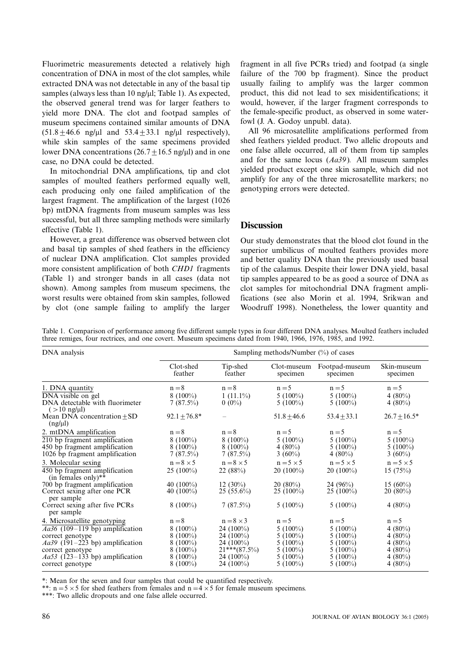Fluorimetric measurements detected a relatively high concentration of DNA in most of the clot samples, while extracted DNA was not detectable in any of the basal tip samples (always less than  $10$  ng/ $\mu$ l; Table 1). As expected, the observed general trend was for larger feathers to yield more DNA. The clot and footpad samples of museum specimens contained similar amounts of DNA  $(51.8+46.6 \text{ ng/µl}$  and  $53.4+33.1 \text{ ng/µl}$  respectively), while skin samples of the same specimens provided lower DNA concentrations  $(26.7 + 16.5 \text{ ng/µl})$  and in one case, no DNA could be detected.

In mitochondrial DNA amplifications, tip and clot samples of moulted feathers performed equally well, each producing only one failed amplification of the largest fragment. The amplification of the largest (1026 bp) mtDNA fragments from museum samples was less successful, but all three sampling methods were similarly effective (Table 1).

However, a great difference was observed between clot and basal tip samples of shed feathers in the efficiency of nuclear DNA amplification. Clot samples provided more consistent amplification of both CHD1 fragments (Table 1) and stronger bands in all cases (data not shown). Among samples from museum specimens, the worst results were obtained from skin samples, followed by clot (one sample failing to amplify the larger fragment in all five PCRs tried) and footpad (a single failure of the 700 bp fragment). Since the product usually failing to amplify was the larger common product, this did not lead to sex misidentifications; it would, however, if the larger fragment corresponds to the female-specific product, as observed in some waterfowl (J. A. Godoy unpubl. data).

All 96 microsatellite amplifications performed from shed feathers yielded product. Two allelic dropouts and one false allele occurred, all of them from tip samples and for the same locus  $(Aa39)$ . All museum samples yielded product except one skin sample, which did not amplify for any of the three microsatellite markers; no genotyping errors were detected.

# **Discussion**

Our study demonstrates that the blood clot found in the superior umbilicus of moulted feathers provides more and better quality DNA than the previously used basal tip of the calamus. Despite their lower DNA yield, basal tip samples appeared to be as good a source of DNA as clot samples for mitochondrial DNA fragment amplifications (see also Morin et al. 1994, Srikwan and Woodruff 1998). Nonetheless, the lower quantity and

Table 1. Comparison of performance among five different sample types in four different DNA analyses. Moulted feathers included three remiges, four rectrices, and one covert. Museum specimens dated from 1940, 1966, 1976, 1985, and 1992.

| DNA analysis                                                                                     | Sampling methods/Number $(\%)$ of cases |                                         |                                         |                                         |                                        |
|--------------------------------------------------------------------------------------------------|-----------------------------------------|-----------------------------------------|-----------------------------------------|-----------------------------------------|----------------------------------------|
|                                                                                                  | Clot-shed<br>feather                    | Tip-shed<br>feather                     | specimen                                | Clot-museum Footpad-museum<br>specimen  | Skin-museum<br>specimen                |
| 1. DNA quantity                                                                                  | $n = 8$                                 | $n = 8$                                 | $n = 5$                                 | $n = 5$                                 | $n = 5$                                |
| DNA visible on gel<br>DNA detectable with fluorimeter<br>$($ > 10 ng/ $\mu$ I)                   | $8(100\%)$<br>$7(87.5\%)$               | $1(11.1\%)$<br>$0(0\%)$                 | $5(100\%)$<br>$5(100\%)$                | $5(100\%)$<br>5 $(100\%)$               | 4 $(80\%)$<br>4 $(80\%)$               |
| Mean DNA concentration $\pm$ SD<br>$(ng/\mu l)$                                                  | $92.1 + 76.8*$                          |                                         | $51.8 + 46.6$                           | $53.4 + 33.1$                           | $26.7 + 16.5*$                         |
| 2. mtDNA amplification                                                                           | $n = 8$                                 | $n = 8$                                 | $n = 5$                                 | $n = 5$                                 | $n = 5$                                |
| 210 bp fragment amplification<br>450 bp fragment amplification<br>1026 bp fragment amplification | $8(100\%)$<br>$8(100\%)$<br>$7(87.5\%)$ | $8(100\%)$<br>$8(100\%)$<br>$7(87.5\%)$ | 5 $(100\%)$<br>4 $(80\%)$<br>3 $(60\%)$ | 5 $(100\%)$<br>$5(100\%)$<br>4 $(80\%)$ | $5(100\%)$<br>$5(100\%)$<br>3 $(60\%)$ |
| 3. Molecular sexing                                                                              | $n = 8 \times 5$                        | $n = 8 \times 5$                        | $n = 5 \times 5$                        | $n = 5 \times 5$                        | $n = 5 \times 5$                       |
| 450 bp fragment amplification<br>(in females only)**                                             | $25(100\%)$                             | 22(88%)                                 | $20(100\%)$                             | $20(100\%)$                             | 15(75%)                                |
| 700 bp fragment amplification<br>Correct sexing after one PCR<br>per sample                      | 40 $(100\%)$<br>40 $(100\%)$            | 12 $(30\%)$<br>$25(55.6\%)$             | $20(80\%)$<br>$25(100\%)$               | 24 $(96\%)$<br>$25(100\%)$              | 15 $(60\%)$<br>$20(80\%)$              |
| Correct sexing after five PCRs<br>per sample                                                     | $8(100\%)$                              | $7(87.5\%)$                             | 5 $(100\%)$                             | $5(100\%)$                              | $4(80\%)$                              |
| 4. Microsatellite genotyping                                                                     | $n = 8$                                 | $n = 8 \times 3$                        | $n = 5$                                 | $n = 5$                                 | $n = 5$                                |
| $Aa36$ (109–119 bp) amplification                                                                | $8(100\%)$                              | 24 (100%)                               | $5(100\%)$                              | $5(100\%)$                              | 4 $(80\%)$                             |
| correct genotype<br>$Aa39$ (191–223 bp) amplification                                            | $8(100\%)$<br>$8(100\%)$                | 24 (100%)<br>24 (100%)                  | $5(100\%)$<br>$5(100\%)$                | $5(100\%)$<br>$5(100\%)$                | 4 $(80\%)$<br>$4(80\%)$                |
| correct genotype                                                                                 | $8(100\%)$                              | $21***$ (87.5%)                         | $5(100\%)$                              | $5(100\%)$                              | 4 $(80\%)$                             |
| $Aa53$ (123–133 bp) amplification                                                                | $8(100\%)$                              | 24 $(100\%)$                            | $5(100\%)$                              | $5(100\%)$                              | 4 $(80\%)$                             |
| correct genotype                                                                                 | $8(100\%)$                              | 24 (100%)                               | $5(100\%)$                              | $5(100\%)$                              | $4(80\%)$                              |

\*: Mean for the seven and four samples that could be quantified respectively.

\*\*:  $n=5\times 5$  for shed feathers from females and  $n=4\times 5$  for female museum specimens.

\*\*\*: Two allelic dropouts and one false allele occurred.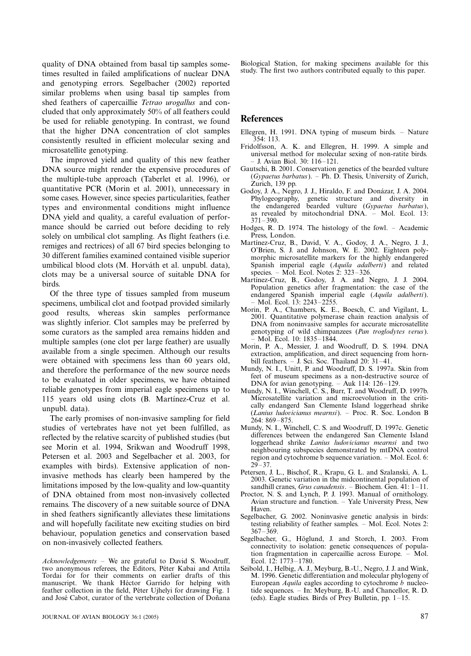quality of DNA obtained from basal tip samples sometimes resulted in failed amplifications of nuclear DNA and genotyping errors. Segelbacher (2002) reported similar problems when using basal tip samples from shed feathers of capercaillie Tetrao urogallus and concluded that only approximately 50% of all feathers could be used for reliable genotyping. In contrast, we found that the higher DNA concentration of clot samples consistently resulted in efficient molecular sexing and microsatellite genotyping.

The improved yield and quality of this new feather DNA source might render the expensive procedures of the multiple-tube approach (Taberlet et al. 1996), or quantitative PCR (Morin et al. 2001), unnecessary in some cases. However, since species particularities, feather types and environmental conditions might influence DNA yield and quality, a careful evaluation of performance should be carried out before deciding to rely solely on umbilical clot sampling. As flight feathers (i.e. remiges and rectrices) of all 67 bird species belonging to 30 different families examined contained visible superior umbilical blood clots (M. Horváth et al. unpubl. data), clots may be a universal source of suitable DNA for birds.

Of the three type of tissues sampled from museum specimens, umbilical clot and footpad provided similarly good results, whereas skin samples performance was slightly inferior. Clot samples may be preferred by some curators as the sampled area remains hidden and multiple samples (one clot per large feather) are usually available from a single specimen. Although our results were obtained with specimens less than 60 years old, and therefore the performance of the new source needs to be evaluated in older specimens, we have obtained reliable genotypes from imperial eagle specimens up to 115 years old using clots (B. Martínez-Cruz et al. unpubl. data).

The early promises of non-invasive sampling for field studies of vertebrates have not yet been fulfilled, as reflected by the relative scarcity of published studies (but see Morin et al. 1994, Srikwan and Woodruff 1998, Petersen et al. 2003 and Segelbacher et al. 2003, for examples with birds). Extensive application of noninvasive methods has clearly been hampered by the limitations imposed by the low-quality and low-quantity of DNA obtained from most non-invasively collected remains. The discovery of a new suitable source of DNA in shed feathers significantly alleviates these limitations and will hopefully facilitate new exciting studies on bird behaviour, population genetics and conservation based on non-invasively collected feathers.

 $Acknowledgements$  – We are grateful to David S. Woodruff, two anonymous referees, the Editors, Péter Kabai and Attila Tordai for for their comments on earlier drafts of this manuscript. We thank Héctor Garrido for helping with feather collection in the field, Péter Ujhelyi for drawing Fig. 1 and José Cabot, curator of the vertebrate collection of Doñana Biological Station, for making specimens available for this study. The first two authors contributed equally to this paper.

### References

- Ellegren, H. 1991. DNA typing of museum birds.  $-$  Nature 354: 113.
- Fridolfsson, A. K. and Ellegren, H. 1999. A simple and universal method for molecular sexing of non-ratite birds. J. Avian Biol. 30: 116-121.
- Gautschi, B. 2001. Conservation genetics of the bearded vulture (Gypaetus barbatus). - Ph. D. Thesis, University of Zurich, Zurich, 139 pp.
- Godoy, J. A., Negro, J. J., Hiraldo, F. and Donázar, J. A. 2004. Phylogeography, genetic structure and diversity in the endangered bearded vulture (Gypaetus barbatus), as revealed by mitochondrial  $DNA. - Mol. Ecol. 13$ :  $371 - 390$ .
- Hodges, R. D. 1974. The histology of the fowl. Academic Press, London.
- Martínez-Cruz, B., David, V. A., Godoy, J. A., Negro, J. J., O'Brien, S. J. and Johnson, W. E. 2002. Eighteen polymorphic microsatellite markers for the highly endangered Spanish imperial eagle (Aquila adalberti) and related species. – Mol. Ecol. Notes 2:  $323-326$ .
- Martínez-Cruz, B., Godoy, J. A. and Negro, J. J. 2004. Population genetics after fragmentation: the case of the endangered Spanish imperial eagle (Aquila adalberti). Mol. Ecol.  $13: 2243 - 2255$ .
- Morin, P. A., Chambers, K. E., Boesch, C. and Vigilant, L. 2001. Quantitative polymerase chain reaction analysis of DNA from noninvasive samples for accurate microsatellite genotyping of wild chimpanzees (Pan troglodytes verus). Mol. Ecol. 10: 1835-1844.
- Morin, P. A., Messier, J. and Woodruff, D. S. 1994. DNA extraction, amplification, and direct sequencing from hornbill feathers.  $-$  J. Sci. Soc. Thailand 20: 31-41.
- Mundy, N. I., Unitt, P. and Woodruff, D. S. 1997a. Skin from feet of museum specimens as a non-destructive source of DNA for avian genotyping.  $-$  Auk 114: 126 $-$ 129.
- Mundy, N. I., Winchell, C. S., Burr, T. and Woodruff, D. 1997b. Microsatellite variation and microevolution in the critically endangerd San Clemente Island loggerhead shrike  $(Lanius ludovicianus meansi)$ . - Proc. R. Soc. London B  $264.869 - 875$
- Mundy, N. I., Winchell, C. S. and Woodruff, D. 1997c. Genetic differences between the endangered San Clemente Island loggerhead shrike Lanius ludovicianus mearnsi and two neighbouring subspecies demonstrated by mtDNA control region and cytochrome b sequence variation.  $-$  Mol. Ecol. 6:  $29 - 37$ .
- Petersen, J. L., Bischof, R., Krapu, G. L. and Szalanski, A. L. 2003. Genetic variation in the midcontinental population of sandhill cranes, *Grus canadensis*. - Biochem. Gen.  $41: 1 - 11$ .
- Proctor, N. S. and Lynch, P. J. 1993. Manual of ornithology. Avian structure and function. - Yale University Press, New Haven.
- Segelbacher, G. 2002. Noninvasive genetic analysis in birds: testing reliability of feather samples. - Mol. Ecol. Notes 2:  $367 - 369$
- Segelbacher, G., Höglund, J. and Storch, I. 2003. From connectivity to isolation: genetic consequences of population fragmentation in capercaillie across Europe.  $-$  Mol. Ecol. 12: 1773-1780.
- Seibold, I., Helbig, A. J., Meyburg, B.-U., Negro, J. J. and Wink, M. 1996. Genetic differentiation and molecular phylogeny of European *Aquila* eagles according to cytochrome *b* nucleotide sequences. - In: Meyburg, B.-U. and Chancellor, R. D. (eds). Eagle studies. Birds of Prey Bulletin, pp.  $1-15$ .